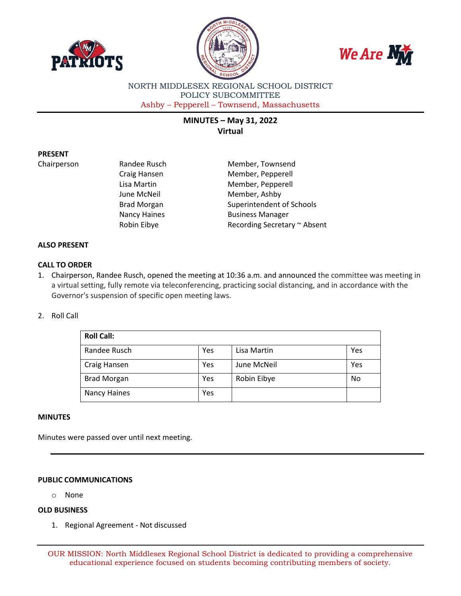





NORTH MIDDLESEX REGIONAL SCHOOL DISTRICT POLICY SUBCOMMITTEE Ashby – Pepperell – Townsend, Massachusetts

# **MINUTES – May 31, 2022 Virtual**

## **PRESENT**

Chairperson **Randee Rusch** Member, Townsend Craig Hansen Member, Pepperell Lisa Martin Member, Pepperell June McNeil **Member**, Ashby Brad Morgan Superintendent of Schools Nancy Haines **Business Manager** Robin Eibye **Recording Secretary ~ Absent** 

## **ALSO PRESENT**

# **CALL TO ORDER**

1. Chairperson, Randee Rusch, opened the meeting at 10:36 a.m. and announced the committee was meeting in a virtual setting, fully remote via teleconferencing, practicing social distancing, and in accordance with the Governor's suspension of specific open meeting laws.

### 2. Roll Call

| <b>Roll Call:</b>  |     |             |     |
|--------------------|-----|-------------|-----|
| Randee Rusch       | Yes | Lisa Martin | Yes |
| Craig Hansen       | Yes | June McNeil | Yes |
| <b>Brad Morgan</b> | Yes | Robin Eibye | No  |
| Nancy Haines       | Yes |             |     |

#### **MINUTES**

Minutes were passed over until next meeting.

## **PUBLIC COMMUNICATIONS**

o None

# **OLD BUSINESS**

1. Regional Agreement - Not discussed

OUR MISSION: North Middlesex Regional School District is dedicated to providing a comprehensive educational experience focused on students becoming contributing members of society.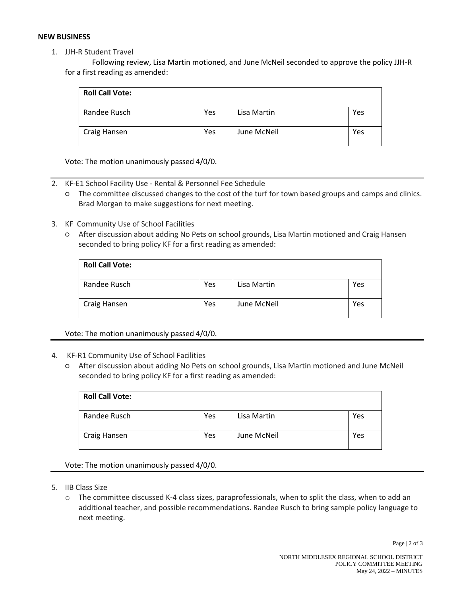## **NEW BUSINESS**

1. JJH-R Student Travel

Following review, Lisa Martin motioned, and June McNeil seconded to approve the policy JJH-R for a first reading as amended:

| <b>Roll Call Vote:</b> |     |             |     |
|------------------------|-----|-------------|-----|
| Randee Rusch           | Yes | Lisa Martin | Yes |
| Craig Hansen           | Yes | June McNeil | Yes |

Vote: The motion unanimously passed 4/0/0.

- 2. KF-E1 School Facility Use Rental & Personnel Fee Schedule
	- The committee discussed changes to the cost of the turf for town based groups and camps and clinics. Brad Morgan to make suggestions for next meeting.
- 3. KF Community Use of School Facilities
	- After discussion about adding No Pets on school grounds, Lisa Martin motioned and Craig Hansen seconded to bring policy KF for a first reading as amended:

| <b>Roll Call Vote:</b> |     |             |     |
|------------------------|-----|-------------|-----|
| Randee Rusch           | Yes | Lisa Martin | Yes |
| Craig Hansen           | Yes | June McNeil | Yes |

Vote: The motion unanimously passed 4/0/0.

# 4. KF-R1 Community Use of School Facilities

○ After discussion about adding No Pets on school grounds, Lisa Martin motioned and June McNeil seconded to bring policy KF for a first reading as amended:

| <b>Roll Call Vote:</b> |     |             |     |
|------------------------|-----|-------------|-----|
| Randee Rusch           | Yes | Lisa Martin | Yes |
| Craig Hansen           | Yes | June McNeil | Yes |

## Vote: The motion unanimously passed 4/0/0.

- 5. IIB Class Size
	- o The committee discussed K-4 class sizes, paraprofessionals, when to split the class, when to add an additional teacher, and possible recommendations. Randee Rusch to bring sample policy language to next meeting.